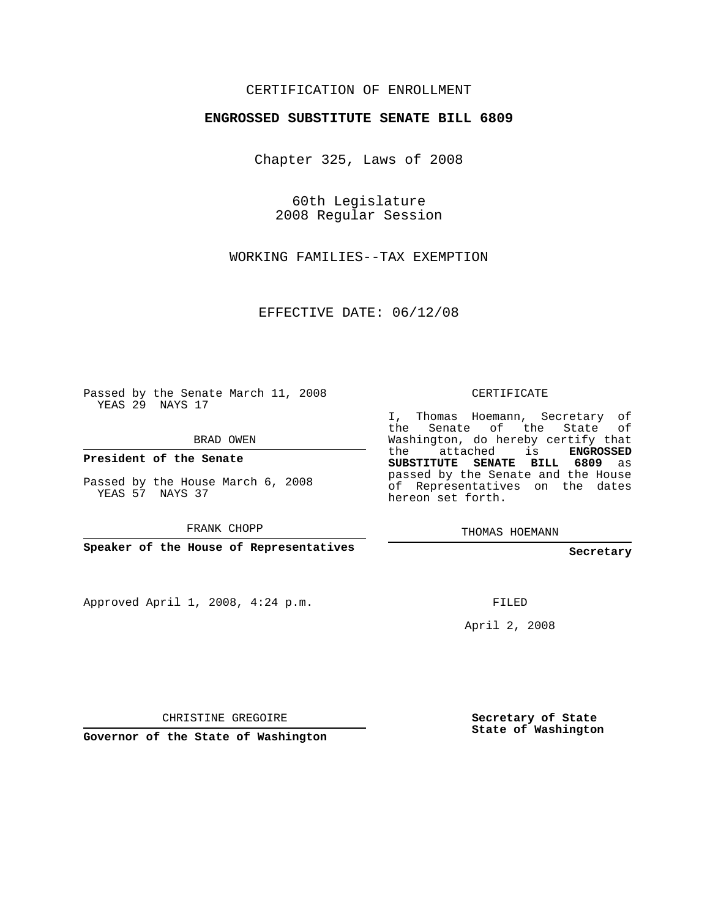## CERTIFICATION OF ENROLLMENT

#### **ENGROSSED SUBSTITUTE SENATE BILL 6809**

Chapter 325, Laws of 2008

60th Legislature 2008 Regular Session

WORKING FAMILIES--TAX EXEMPTION

EFFECTIVE DATE: 06/12/08

Passed by the Senate March 11, 2008 YEAS 29 NAYS 17

BRAD OWEN

**President of the Senate**

Passed by the House March 6, 2008 YEAS 57 NAYS 37

FRANK CHOPP

**Speaker of the House of Representatives**

Approved April 1, 2008, 4:24 p.m.

CERTIFICATE

I, Thomas Hoemann, Secretary of the Senate of the State of Washington, do hereby certify that the attached is **ENGROSSED SUBSTITUTE SENATE BILL 6809** as passed by the Senate and the House of Representatives on the dates hereon set forth.

THOMAS HOEMANN

**Secretary**

FILED

April 2, 2008

CHRISTINE GREGOIRE

**Governor of the State of Washington**

**Secretary of State State of Washington**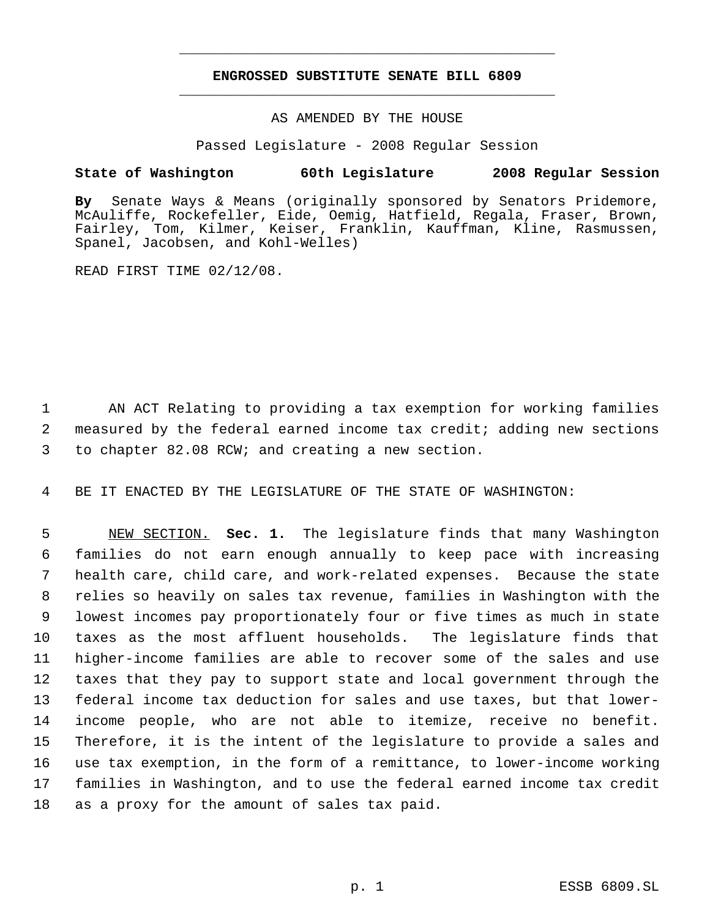# **ENGROSSED SUBSTITUTE SENATE BILL 6809** \_\_\_\_\_\_\_\_\_\_\_\_\_\_\_\_\_\_\_\_\_\_\_\_\_\_\_\_\_\_\_\_\_\_\_\_\_\_\_\_\_\_\_\_\_

\_\_\_\_\_\_\_\_\_\_\_\_\_\_\_\_\_\_\_\_\_\_\_\_\_\_\_\_\_\_\_\_\_\_\_\_\_\_\_\_\_\_\_\_\_

### AS AMENDED BY THE HOUSE

Passed Legislature - 2008 Regular Session

### **State of Washington 60th Legislature 2008 Regular Session**

**By** Senate Ways & Means (originally sponsored by Senators Pridemore, McAuliffe, Rockefeller, Eide, Oemig, Hatfield, Regala, Fraser, Brown, Fairley, Tom, Kilmer, Keiser, Franklin, Kauffman, Kline, Rasmussen, Spanel, Jacobsen, and Kohl-Welles)

READ FIRST TIME 02/12/08.

 1 AN ACT Relating to providing a tax exemption for working families 2 measured by the federal earned income tax credit; adding new sections 3 to chapter 82.08 RCW; and creating a new section.

4 BE IT ENACTED BY THE LEGISLATURE OF THE STATE OF WASHINGTON:

 NEW SECTION. **Sec. 1.** The legislature finds that many Washington families do not earn enough annually to keep pace with increasing health care, child care, and work-related expenses. Because the state relies so heavily on sales tax revenue, families in Washington with the lowest incomes pay proportionately four or five times as much in state taxes as the most affluent households. The legislature finds that higher-income families are able to recover some of the sales and use taxes that they pay to support state and local government through the federal income tax deduction for sales and use taxes, but that lower- income people, who are not able to itemize, receive no benefit. Therefore, it is the intent of the legislature to provide a sales and use tax exemption, in the form of a remittance, to lower-income working families in Washington, and to use the federal earned income tax credit as a proxy for the amount of sales tax paid.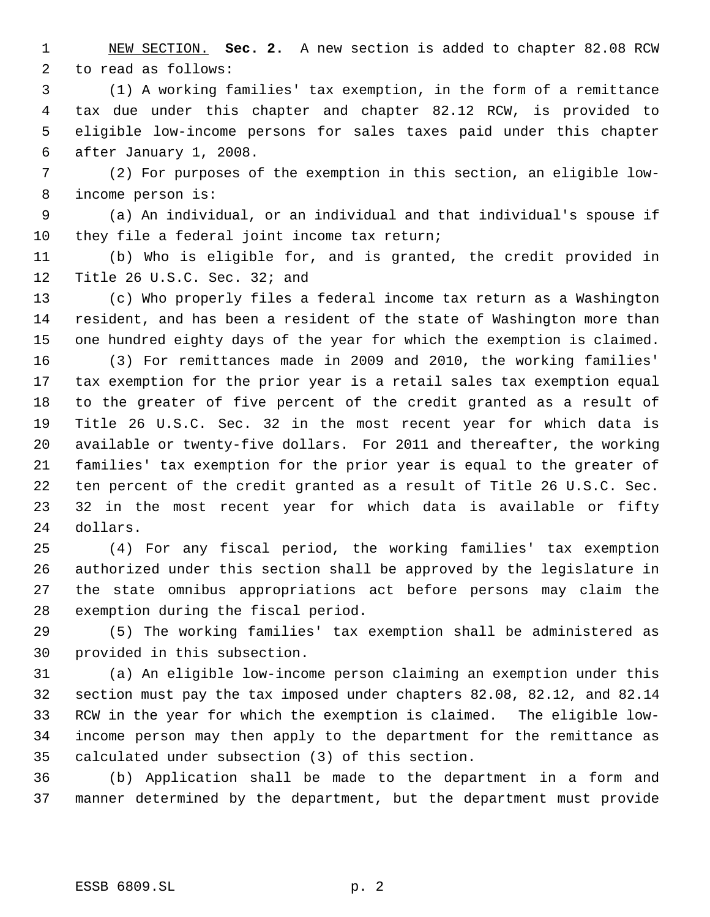NEW SECTION. **Sec. 2.** A new section is added to chapter 82.08 RCW to read as follows:

 (1) A working families' tax exemption, in the form of a remittance tax due under this chapter and chapter 82.12 RCW, is provided to eligible low-income persons for sales taxes paid under this chapter after January 1, 2008.

 (2) For purposes of the exemption in this section, an eligible low- income person is:

 (a) An individual, or an individual and that individual's spouse if they file a federal joint income tax return;

 (b) Who is eligible for, and is granted, the credit provided in Title 26 U.S.C. Sec. 32; and

 (c) Who properly files a federal income tax return as a Washington resident, and has been a resident of the state of Washington more than one hundred eighty days of the year for which the exemption is claimed.

 (3) For remittances made in 2009 and 2010, the working families' tax exemption for the prior year is a retail sales tax exemption equal to the greater of five percent of the credit granted as a result of Title 26 U.S.C. Sec. 32 in the most recent year for which data is available or twenty-five dollars. For 2011 and thereafter, the working families' tax exemption for the prior year is equal to the greater of ten percent of the credit granted as a result of Title 26 U.S.C. Sec. 32 in the most recent year for which data is available or fifty dollars.

 (4) For any fiscal period, the working families' tax exemption authorized under this section shall be approved by the legislature in the state omnibus appropriations act before persons may claim the exemption during the fiscal period.

 (5) The working families' tax exemption shall be administered as provided in this subsection.

 (a) An eligible low-income person claiming an exemption under this section must pay the tax imposed under chapters 82.08, 82.12, and 82.14 RCW in the year for which the exemption is claimed. The eligible low- income person may then apply to the department for the remittance as calculated under subsection (3) of this section.

 (b) Application shall be made to the department in a form and manner determined by the department, but the department must provide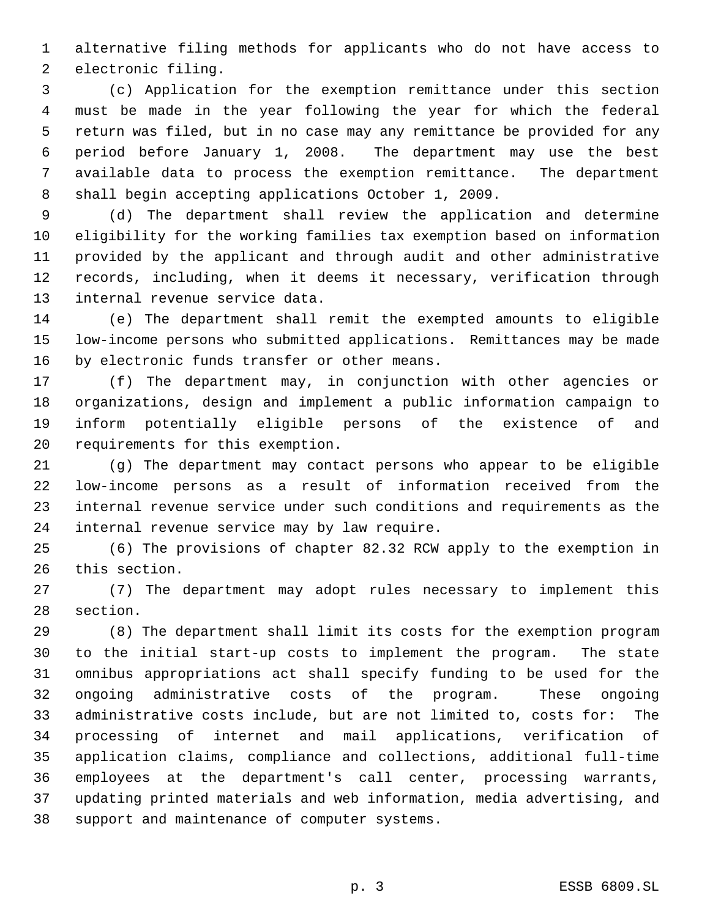alternative filing methods for applicants who do not have access to electronic filing.

 (c) Application for the exemption remittance under this section must be made in the year following the year for which the federal return was filed, but in no case may any remittance be provided for any period before January 1, 2008. The department may use the best available data to process the exemption remittance. The department shall begin accepting applications October 1, 2009.

 (d) The department shall review the application and determine eligibility for the working families tax exemption based on information provided by the applicant and through audit and other administrative records, including, when it deems it necessary, verification through internal revenue service data.

 (e) The department shall remit the exempted amounts to eligible low-income persons who submitted applications. Remittances may be made by electronic funds transfer or other means.

 (f) The department may, in conjunction with other agencies or organizations, design and implement a public information campaign to inform potentially eligible persons of the existence of and requirements for this exemption.

 (g) The department may contact persons who appear to be eligible low-income persons as a result of information received from the internal revenue service under such conditions and requirements as the internal revenue service may by law require.

 (6) The provisions of chapter 82.32 RCW apply to the exemption in this section.

 (7) The department may adopt rules necessary to implement this section.

 (8) The department shall limit its costs for the exemption program to the initial start-up costs to implement the program. The state omnibus appropriations act shall specify funding to be used for the ongoing administrative costs of the program. These ongoing administrative costs include, but are not limited to, costs for: The processing of internet and mail applications, verification of application claims, compliance and collections, additional full-time employees at the department's call center, processing warrants, updating printed materials and web information, media advertising, and support and maintenance of computer systems.